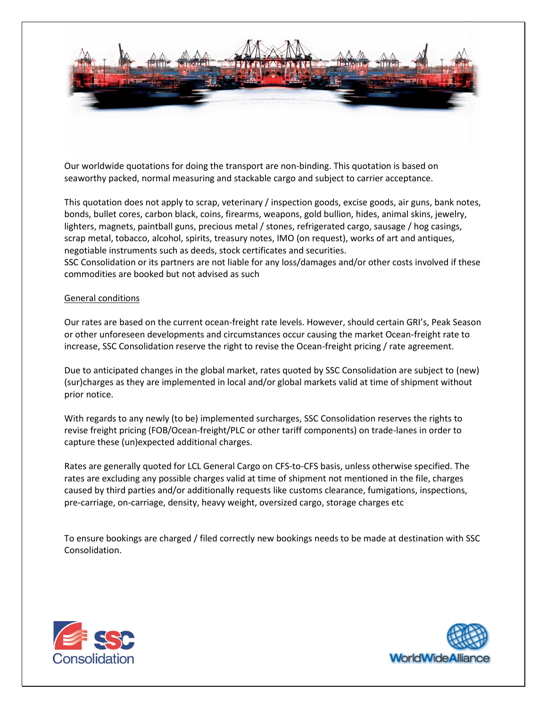

Our worldwide quotations for doing the transport are non-binding. This quotation is based on seaworthy packed, normal measuring and stackable cargo and subject to carrier acceptance.

This quotation does not apply to scrap, veterinary / inspection goods, excise goods, air guns, bank notes, bonds, bullet cores, carbon black, coins, firearms, weapons, gold bullion, hides, animal skins, jewelry, lighters, magnets, paintball guns, precious metal / stones, refrigerated cargo, sausage / hog casings, scrap metal, tobacco, alcohol, spirits, treasury notes, IMO (on request), works of art and antiques, negotiable instruments such as deeds, stock certificates and securities.

SSC Consolidation or its partners are not liable for any loss/damages and/or other costs involved if these commodities are booked but not advised as such

## General conditions

Our rates are based on the current ocean-freight rate levels. However, should certain GRI's, Peak Season or other unforeseen developments and circumstances occur causing the market Ocean-freight rate to increase, SSC Consolidation reserve the right to revise the Ocean-freight pricing / rate agreement.

Due to anticipated changes in the global market, rates quoted by SSC Consolidation are subject to (new) (sur)charges as they are implemented in local and/or global markets valid at time of shipment without prior notice.

With regards to any newly (to be) implemented surcharges, SSC Consolidation reserves the rights to revise freight pricing (FOB/Ocean-freight/PLC or other tariff components) on trade-lanes in order to capture these (un)expected additional charges.

Rates are generally quoted for LCL General Cargo on CFS-to-CFS basis, unless otherwise specified. The rates are excluding any possible charges valid at time of shipment not mentioned in the file, charges caused by third parties and/or additionally requests like customs clearance, fumigations, inspections, pre-carriage, on-carriage, density, heavy weight, oversized cargo, storage charges etc

To ensure bookings are charged / filed correctly new bookings needs to be made at destination with SSC Consolidation.



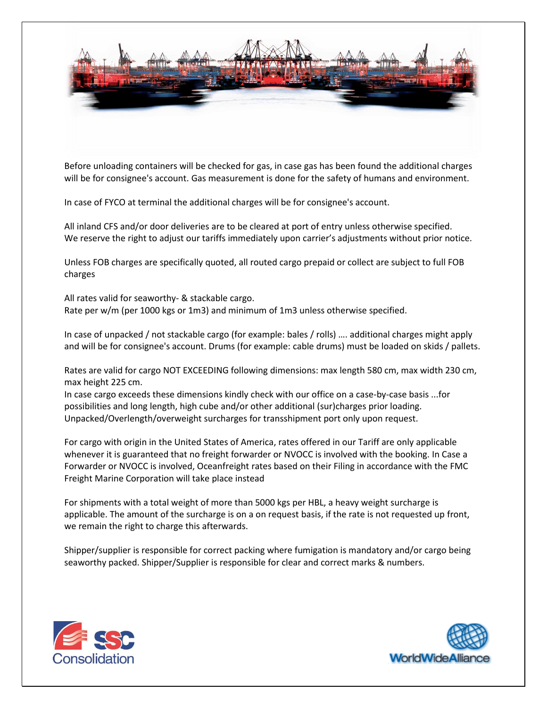

Before unloading containers will be checked for gas, in case gas has been found the additional charges will be for consignee's account. Gas measurement is done for the safety of humans and environment.

In case of FYCO at terminal the additional charges will be for consignee's account.

All inland CFS and/or door deliveries are to be cleared at port of entry unless otherwise specified. We reserve the right to adjust our tariffs immediately upon carrier's adjustments without prior notice.

Unless FOB charges are specifically quoted, all routed cargo prepaid or collect are subject to full FOB charges

All rates valid for seaworthy- & stackable cargo. Rate per w/m (per 1000 kgs or 1m3) and minimum of 1m3 unless otherwise specified.

In case of unpacked / not stackable cargo (for example: bales / rolls) …. additional charges might apply and will be for consignee's account. Drums (for example: cable drums) must be loaded on skids / pallets.

Rates are valid for cargo NOT EXCEEDING following dimensions: max length 580 cm, max width 230 cm, max height 225 cm.

In case cargo exceeds these dimensions kindly check with our office on a case-by-case basis ...for possibilities and long length, high cube and/or other additional (sur)charges prior loading. Unpacked/Overlength/overweight surcharges for transshipment port only upon request.

For cargo with origin in the United States of America, rates offered in our Tariff are only applicable whenever it is guaranteed that no freight forwarder or NVOCC is involved with the booking. In Case a Forwarder or NVOCC is involved, Oceanfreight rates based on their Filing in accordance with the FMC Freight Marine Corporation will take place instead

For shipments with a total weight of more than 5000 kgs per HBL, a heavy weight surcharge is applicable. The amount of the surcharge is on a on request basis, if the rate is not requested up front, we remain the right to charge this afterwards.

Shipper/supplier is responsible for correct packing where fumigation is mandatory and/or cargo being seaworthy packed. Shipper/Supplier is responsible for clear and correct marks & numbers.